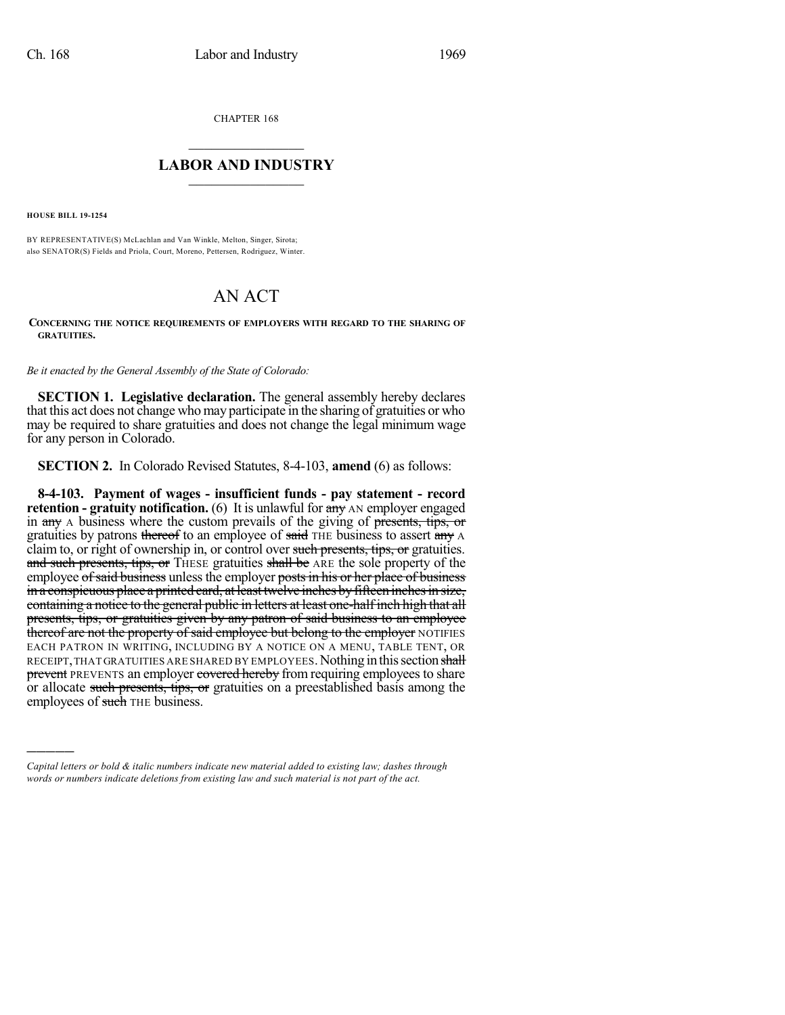CHAPTER 168

## $\mathcal{L}_\text{max}$  . The set of the set of the set of the set of the set of the set of the set of the set of the set of the set of the set of the set of the set of the set of the set of the set of the set of the set of the set **LABOR AND INDUSTRY**  $\frac{1}{\sqrt{2}}$  ,  $\frac{1}{\sqrt{2}}$  ,  $\frac{1}{\sqrt{2}}$  ,  $\frac{1}{\sqrt{2}}$  ,  $\frac{1}{\sqrt{2}}$  ,  $\frac{1}{\sqrt{2}}$

**HOUSE BILL 19-1254**

)))))

BY REPRESENTATIVE(S) McLachlan and Van Winkle, Melton, Singer, Sirota; also SENATOR(S) Fields and Priola, Court, Moreno, Pettersen, Rodriguez, Winter.

## AN ACT

## **CONCERNING THE NOTICE REQUIREMENTS OF EMPLOYERS WITH REGARD TO THE SHARING OF GRATUITIES.**

*Be it enacted by the General Assembly of the State of Colorado:*

**SECTION 1. Legislative declaration.** The general assembly hereby declares that this act does not change who may participate in the sharing of gratuities or who may be required to share gratuities and does not change the legal minimum wage for any person in Colorado.

**SECTION 2.** In Colorado Revised Statutes, 8-4-103, **amend** (6) as follows:

**8-4-103. Payment of wages - insufficient funds - pay statement - record retention -** gratuity notification. (6) It is unlawful for any AN employer engaged in any A business where the custom prevails of the giving of presents, tips, or gratuities by patrons thereof to an employee of said THE business to assert any A claim to, or right of ownership in, or control over such presents, tips, or gratuities. and such presents, tips, or THESE gratuities shall be ARE the sole property of the employee of said business unless the employer posts in his or her place of business in a conspicuous place a printed card, at least twelve inches by fifteen inches in size, containing a notice to the general public in letters at least one-half inch high that all presents, tips, or gratuities given by any patron of said business to an employee thereof are not the property of said employee but belong to the employer NOTIFIES EACH PATRON IN WRITING, INCLUDING BY A NOTICE ON A MENU, TABLE TENT, OR RECEIPT, THAT GRATUITIES ARE SHARED BY EMPLOYEES. Nothing in this section shall prevent PREVENTS an employer covered hereby from requiring employees to share or allocate such presents, tips, or gratuities on a preestablished basis among the employees of such THE business.

*Capital letters or bold & italic numbers indicate new material added to existing law; dashes through words or numbers indicate deletions from existing law and such material is not part of the act.*